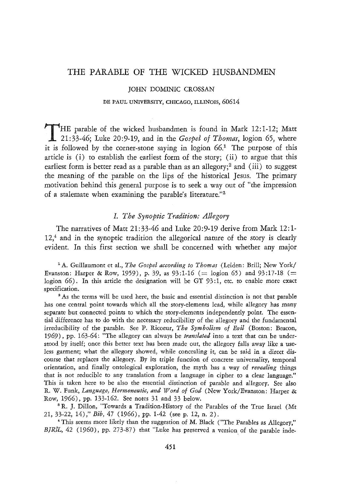### THE PARABLE OF THE WICKED HUSBANDMEN

#### JOHN DOMINIC CROSSAN

#### DE PAUL UNIVERSITY, CHICAGO, ILLINOIS, 60614

THE parable of the wicked husbandmen is found in Mark 12:1-12; Matt 21:33-46; Luke 20:9-19, and in the Gospel of Thomas, logion 65, where 21:33-46; Luke 20:9-19, and in the *Gospel of Thomas,* logion 65, where it is followed by the corner-stone saying in logion  $66<sup>1</sup>$ . The purpose of this article is  $(i)$  to establish the earliest form of the story;  $(ii)$  to argue that this earliest form is better read as a parable than as an allegory;<sup>2</sup> and (iii) to suggest the meaning of the parable on the lips of the historical Jesus. The primary motivation behind this general purpose is to seek a way out of "the impression of a stalemate when examining the parable's literature."3

# *1. The Synoptic Tradition: Allegory*

The narratives of Matt 21:33-46 and Luke 20:9-19 derive from Mark 12:1-  $12<sup>4</sup>$  and in the synoptic tradition the allegorical nature of the story is clearly evident. In this first section we shall be concerned with whether any major

*"A.* Guillaumont et aI., *The Gospel according to Thomas* (Leiden: Brill; New York/ Evanston: Harper & Row, 1959), p. 39, as  $93:1-16 (=$  logion 65) and  $93:17-18 (=$ logion 66). In this article the designation will be GT 93:1, etc. to enable more exact specification.

<sup>2</sup> As the terms will be used here, the basic and essential distinction is not that parable has one central point towards which all the story-elements lead, while allegory has many separate but connected points to which the story-elements independently point. The essential difference has to do with the necessary reducibility of the allegory and the fundamental irreducibility of the parable. See P. Ricoeur, *The Symbolism of Evil* (Boston: Beacon, 1969) , pp. 163-64: "The allegory can always be *translated* into a text that can be understood by itself; once this better text has been made out, the allegory falls away like a useless garment; what the allegory showed, while concealing it, can be said in a direct discourse that replaces the allegory. By its triple function of concrete universality, temporal orientation, and finally ontological exploration, the myth has a way of *revealing* things that is not reducible to any translation from a language in cipher to a clear language." This is taken here to be also the essential distinction of parable and allegory. See also R. W. Funk, *Language, Hermeneutic, and Word of God* (New York/Evanston: Harper & Row, 1966), pp. 133-162. See notes 31 and 33 below.

8 R. J. Dillon, "Towards a Tradition-History of the Parables of the True Israel (Mt *21,33-22,14)," Bib,* 47 (1966), pp. 1-42 (see p. 12, n. 2).

• This seems more likely than the suggestion of M. Black ("The Parables as Allegory," *BJRlL,42* (1960), pp. 273-87) that "Luke has preserved a version of the parable inde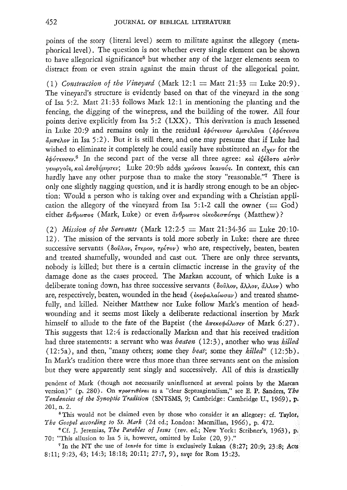points of the story (literal level) seem to militate against the allegory (metaphorical level). The question is not whether every single element can be shown to have allegorical significance<sup>5</sup> but whether any of the larger elements seem to distract from or even strain against the main thrust of the allegorical point.

(1) *Construction of the Vineyard* (Mark  $12:1 =$  Matt  $21:33 =$  Luke  $20:9$ ). The vineyard's structure is evidently based on that of the vineyard in the song· of Isa 5:2. Matt  $21:33$  follows Mark 12:1 in mentioning the planting and the fencing, the digging of the winepress, and the building of the tower. All four points derive explicitly from Isa 5:2 (LXX). This derivation is much lessened in Luke 20:9 and remains only in the residual εφύτευσεν αμπελώνα (εφύτευσα  $\frac{d}{dx}\pi\epsilon\lambda_0v$  in Isa 5:2). But it is still there, and one may presume that if Luke had wished to eliminate it completely he could easily have substituted an  $\epsilon \hat{i} \chi \epsilon \nu$  for the  $\epsilon\phi$ *ú*<sup>6</sup> In the second part of the verse all three agree:  $\kappa a\hat{i}$   $\epsilon\hat{\epsilon}$  $\delta$  $\delta\sigma$   $\sigma$   $\alpha\hat{i}$  $\tau\hat{o}\nu$  $y \epsilon \omega \rho y o \delta s$ , και άπεδήμησεν; Luke 20:9b adds χρόνους ικανούς. In context, this can hardly have any other purpose than to make the story "reasonable."<sup>7</sup> There is only one slightly nagging question, and it is hardly strong enough to be an objection: Would a person who is taking over and expanding with a Christian application the allegory of the vineyard from Isa 5:1-2 call the owner  $(=\text{God})$ either  $\ddot{a}\nu\theta\rho\omega\pi$ os (Mark, Luke) or even  $\ddot{a}\nu\theta\rho\omega\pi$ os οικοδεσπότης (Matthew)?

*(2) Mission of the Servants (Mark 12:2-5*  $=$  *Matt 21:34-36*  $=$  *Luke 20:10-*12). The mission of the servants is told more soberly in Luke: there are three successive servants ( $\delta$ <sup>o</sup> $\hat{v}$ λον, έτερον, τρίτον) who are, respectively, beaten, beaten and treated shamefully, wounded and cast out. There are only three servants, nobody is killed; but there is a certain climactic increase in the gravity of the damage done as the cases proceed. The Markan account, of which Luke is a deliberate toning down, has three successive servants ( $\delta$ ov $\lambda$ ov,  $\tilde{a}\lambda\lambda$ ov,  $\tilde{a}\lambda\lambda$ ov) who are, respectively, beaten, wounded in the head ( $\epsilon \epsilon \phi$ a $\lambda a/\omega \sigma a\nu$ ) and treated shamefully, and killed. Neither Matthew nor Luke follow Mark's mention of headwounding and it seems most likely a deliberate redactional insertion by Mark himself to allude to the fate of the Baptist (the  $\frac{\partial \pi}{\partial x}$  $\frac{\partial \phi}{\partial y}$  of Mark 6:27). This suggests that 12:4 is redactionally Markan and that his received tradition had three statements: a servant who was *beaten* (12: 3 ), another who was *killed*  (12: 5a), and then, "many others; some they *beat;* some they *killed"* (12: 5b). In Mark's tradition there were thus more than three servants sent on the mission but they were apparently sent singly and successively. All of this is drastically

pendent of Mark (though not necessarily uninfluenced at several points by the Marcan version)" (p. 280). On *προστιθέναι* as a "clear Septuagintalism," see E. P. Sanders, The *Tendencies of the Synoptic Tradition* (SNTSMS, 9; Cambridge: Cambridge U., 1969), p. 201, n. 2.

<sup>5</sup> This would not be claimed even by those who consider it an allegory: cf. Taylor, *The Gospel according to St. Mark* (2d ed.; London: Macmillan, 1966), p. 472.

• Cf. J. Jeremias, *The Parables of Jesus* (rev. ed.; New York: Scribner's, 1963), p. 70: "This allusion to Isa 5 is, however, omitted by Luke (20, 9)."

<sup>7</sup> In the NT the use of *Ikav*'s for time is exclusively Lukan (8:27; 20:9; 23:8; Acts 8:11; 9:23, 43; 14:3; 18:18; 20:11; 27:7, 9), saye for Rom 15:23.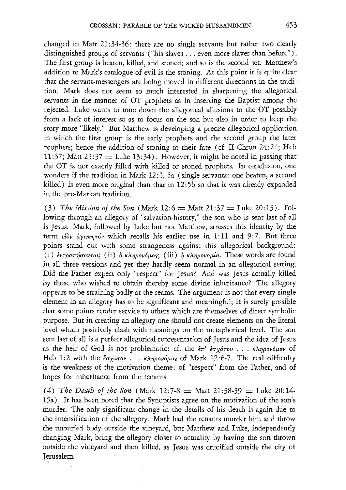changed in Matt 21:34-36: there are no single servants but rather two clearly distinguished groups of servants ("his slaves ... even more slaves than before"). The first group is beaten, killed, and stoned; and so is the second set. Matthew's addition to Mark's catalogue of evil is the stoning. At this point it is quite clear that the servant-messengers are being moved in different directions in the tradition. Mark does not seem so much interested in sharpening the allegorical servants in the manner of OT prophets as in inserting the Baptist among the rejected. Luke wants to tone down the allegorical allusions to the OT possibly from a lack of interest so as to focus on the son but also in order to keep the story more "likely." But Matthew is developing a precise allegorical application in which the first group is the early prophets and the second group the later prophets; hence the addition of stoning to their fate (cf. II Chron 24:21; Heb 11:37; Matt  $23:37 =$  Luke 13:34). However, it might be noted in passing that the OT is not exactly filled with killed or stoned prophets. In conclusion, one wonders if the tradition in Mark 12:3, 5a (single servants: one beaten, a second killed) is even more original than that in 12: 5b so that it was already expanded in the pre-Markan tradition.

(3) The Mission of the Son (Mark  $12:6 =$  Matt  $21:37 =$  Luke  $20:13$ ). Following through an allegory of "salvation-history," the son who is sent last of all is Jesus. Mark, followed by Luke but not Matthew, stresses this identity by the term viov  $\partial y \partial x \eta \tau$  which recalls his earlier use in 1:11 and 9:7. But three points stand out with some strangeness against this allegorical background: (i)  $\epsilon v \tau \rho a \pi \eta \sigma \nu \tau a t$ ; (ii)  $\delta \kappa \lambda \eta \rho \sigma \nu \rho \rho \sigma$ ; (iii)  $\eta \kappa \lambda \eta \rho \sigma \nu \sigma \mu a$ . These words are found in all three versions and yet they hardly seem normal in an allegorical setting. Did the Father expect only "respect" for Jesus? And was Jesus actually killed by those who wished to obtain thereby some divine inheritance? The allegory appears to be straining badly at the seams. The argument is not that every single element in an allegory has to be significant and meaningful; it is surely possible that some points render service to others which are themselves of direct symbolic purpose. But in creating an allegory one should not create elements on the literal level which positively clash with meanings on the metaphorical level. The son sent last of all is a perfect allegorical representation of Jesus and the idea of Jesus as the heir of God is not problematic: cf. the  $\epsilon \pi$ '  $\epsilon \sigma \chi$ *árov* . . .  $\kappa \lambda \eta \rho \sigma \nu \sigma \rho \rho \sigma \nu$  of Heb 1:2 with the  $\zeta_{\alpha\alpha\sigma\alpha\nu}$ ...  $\kappa\lambda\eta\rho\sigma\nu\rho\phi\rho\sigma\sigma$  of Mark 12:6-7. The real difficulty is the weakness of the motivation theme: of "respect" from the Father, and of hopes for inheritance from the tenants.

(4) *The Death of the Son* (Mark 12:7-8 = Matt 21:38-39 = Luke 20:14-15a). It has been noted that the Synoptists agree on the motivation of the son's murder. The only significant change in the details of his death is again due to the intensification of the allegory. Mark had the tenants murder him and throw the unburied body outside the vineyard, but Matthew and Luke, independently changing Mark, bring the allegory closer to actuality by having the son thrown outside the vineyard and then killed, as Jesus was crucified outside the city of Jerusalem.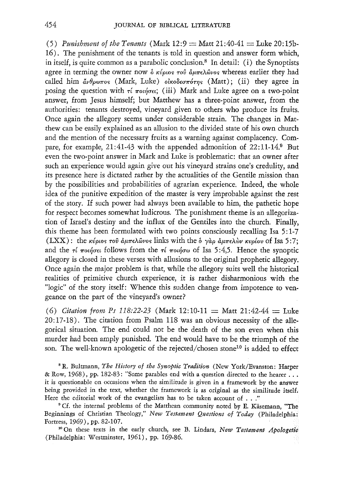(5) *Punishment of the Tenants* (Mark  $12:9 =$  Matt  $21:40-41 =$  Luke  $20:15b$ -16). The punishment of the tenants is told in question and answer form which, in itself, is quite common as a parabolic conclusion.<sup>8</sup> In detail: (i) the Synoptists agree in terming the owner now δ κύριοs του άμπελώνοs whereas earlier they had called him *ἄνθρωπος* (Mark, Luke) *οικοδεσπότης* (Matt); (ii) they agree in posing the question with *τί ποιήσει*; (iii) Mark and Luke agree on a two-point answer, from Jesus himself; but Matthew has a three-point answer, from the authorities: tenants destroyed, vineyard given to others who produce its fruits. Once again the allegory seems under considerable strain. The changes in Matthew can be easily explained as an allusion to the divided state of his own church and the mention of the necessary fruits as a warning against complacency. Compare, for example, 21:41-43 with the appended admonition of 22:11-14.9 But even the two-point answer in Mark and Luke is problematic: that an owner after such an experience would again give out his vineyard strains one's credulity, and its presence here is dictated rather by the actualities of the Gentile mission than by the possibilities and probabilities of agrarian experience. Indeed, the whole idea of the punitive expedition of the master is very improbable against the rest of the story. If such power had always been available to him, the pathetic hope for respect becomes somewhat ludicrous. The punishment theme is an allegorization of Israel's destiny and the influx of the Gentiles into the church. Finally, this theme has been formulated with two points consciously recalling Isa 5: 1-7 (LXX): the *KVpW<; roil al'"7r€AWYO<;* links with the 6 *YdP al'"7r€AWV Kvptov* of Isa 5: 7; and the  $\tau i$   $\pi o\nu/\sigma e\iota$  follows from the  $\tau i$   $\pi o\nu/\sigma\omega$  of Isa 5:4,5. Hence the synoptic allegory is closed in these verses with allusions to the original prophetic allegory. Once again the major problem is that, while the allegory suits well the historical realities of primitive church experience, it is rather disharmonious with the "logic" of the story itself: Whence this sudden change from impotence to vengeance on the part of the vineyard's owner?

(6) *Citation from Ps 118:22-23* (Mark 12:10-11 = Matt 21:42-44 = Luke 20:17-18). The citation from Psalm 118 was an obvious necessity of the allegorical situation. The end could not be the death of the son even when this murder had been amply punished. The end would have to be the triumph of the son. The well-known apologetic of the rejected/chosen stone<sup>10</sup> is added to effect

8 R. Bultmann, *The History of the Synoptic Tradition* (New York/Evanston: Harper & Row, 1968), pp. 182-83: "Some parables end with a question directed to the hearer ... it is questionable on occasions when the similitude is given in a framework by the answer being provided in the text, whether the framework is as original as the similitude itself. Here the editorial work of the evangelists has to be taken account of . . ."

<sup>9</sup> Cf. the internal problems of the Matthean community noted by E. Käsemann, "The Beginnings of Christian Theology," *New Testament Questions of Today* (Philadelphia: Fortress, 1969), pp. 82-107.

<sup>10</sup> On these texts in the early church, see B. Lindars, *New Testament Apologetic* (Philadelphia: Westminster, 1961), pp. 169·86.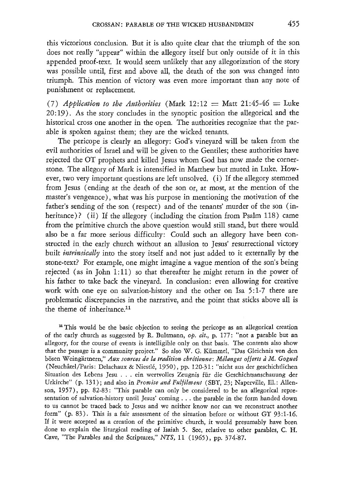this victorious conclusion. But it is also quite clear that the triumph of the son does not really "appear" within the allegory itself but only outside of it in this appended proof-text. It would seem unlikely that any allegorization of the story was possible until, first and above all, the death of the son was changed into triumph. This mention of victory was even more important than any note of punishment or replacement.

(7) *Application to the Authorities* (Mark  $12:12 =$  Matt  $21:45-46 =$  Luke 20: 19). As the story concludes in the synoptic position the allegorical and the historical cross one another in the open. The authorities recognize that the parable is spoken against them; they are the wicked tenants.

The pericope is clearly an allegory: God's vineyard will be taken from the evil authorities of Israel and will be given to the Gentiles; these authorities have rejected the OT prophets and killed Jesus whom God has now made the cornerstone. The allegory of Mark is intensified in Matthew but muted in Luke. However, two very important questions are left unsolved. (i) If the allegory stemmed from Jesus (ending at the death of the son or, at most, at the mention of the master's vengeance), what was his purpose in mentioning the motivation of the father's sending of the son (respect) and of the tenants' murder of the son (inheritance)? (ii) If the allegory (including the citation from Psalm 118) came from the primitive church the above question would still stand, but there would also be a far more serious difficulty: Could such an allegory have been constructed in the early church without an allusion to Jesus' resurrectional victory built *intrinsically* into the story itself and not just added to it externally by the stone-text? For example, one might imagine a vague mention of the son's being rejected (as in John 1:11) so that thereafter he might return in the power of his father to take back the vineyard. In conclusion: even allowing for creative work with one eye on salvation-history and the other on Isa 5:1-7 there are problematic discrepancies in the narrative, and the point that sticks above all is the theme of inheritance. $11$ 

<sup>11</sup> This would be the basic objection to seeing the pericope as an allegorical creation of the early church as suggested by R. Bultmann, *op. cit.,* p. 177: "not a parable but an allegory, for the course of events is intelligible only on that basis. The contents also show that the passage is a community project." So also W. G. Kiimmel, "Das Gleichnis von den bösen Weingärtnern," Aux sources de la tradition chrétienne: Mélanges offerts à M. Goguel (Neuchatel/Paris: Delachaux & Niestle, 1950), pp. 120-31: "nicht aus der geschichtlichen Situation des Lebens Jesu . . . ein wertvolles Zeugnis für die Geschichtsanschauung der Urkirche" (p. 131); and also in *Promise and Fulfilment* (SBT, 23; Naperville, Ill.: Allenson, 1957), pp. 82-83: "This parable can only be considered to be an allegorical representation of salvation-history until Jesus' coming ... the parable in the form handed down to us cannot be traced back to Jesus and we neither know nor can we reconstruct another form" (p. 83). This is a fair assessment of the situation before or without GT 93:1-16. If it were accepted as a creation of the primitive church, it would presumably have been done to explain the liturgical reading of Isaiah 5. See, relative to other parables, C. H. Cave, "The Parables and the Scriptures," *NTS*, 11 (1965), pp. 374-87.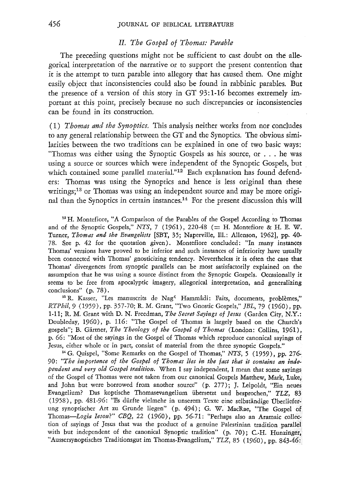## 456 JOURNAL OF BIBLICAL LITERATURE

### II. *The Gospel of Thomas: Parable*

The preceding questions might not be sufficient to cast doubt on the allegorical interpretation of the narrative or to support the present contention that it is the attempt to turn parable into allegory that has caused them. One might easily object that inconsistencies could also be found in rabbinic parables. But the presence of a version of this story in GT 93: 1-16 becomes extremely important at this point, precisely because no such discrepancies or inconsistencies can be found in its construction.

(1) *Thomas and the Synoptics.* This analysis neither works from nor concludes to any general relationship between the GT and the Synoptics. The obvious similarities between the two traditions can be explained in one of two basic ways: "Thomas was either using the Synoptic Gospels as his source, or ... he was using a source or sources which were independent of the Synoptic Gospels, but which contained some parallel material."<sup>12</sup> Each explanation has found defenders: Thomas was using the Synoptics and hence is less original than these writings;<sup>13</sup> or Thomas was using an independent source and may be more original than the Synoptics in certain instances.14 For the present discussion this will

<sup>12</sup> H. Montefiore, "A Comparison of the Parables of the Gospel According to Thomas and of the Synoptic Gospels," *NTS*,  $7$  (1961), 220-48 ( $=$  H. Montefiore & H. E. W. Turner, *Thomas and the Evangelists* [SBT, 35; Naperville, Ill.: Allenson, 1962], pp. 40- 78. See p. 42 for the quotation given). Montefiore concluded: "In many instances Thomas' versions have proved to be inferior and such instances of inferiority have usually been connected with Thomas' gnosticizing tendency. Nevertheless it is often the case that Thomas' divergences from synoptic parallels can be most satisfactorily explained on the assumption that he was using a source distinct from the Synoptic Gospels. Occasionally it seems to be free from apocalyptic imagery, allegorical interpretation, and generalizing conclusions" (p. 78).

<sup>13</sup> R. Kasser, "Les manuscrits de Nag<sup>c</sup> Hammâdi: Faits, documents, problèmes," *RTPhil,9* (1959), pp. 357-70; R. M. Grant, "Two Gnostic Gospels," *JBL,* 79 (1960), pp. 1-11; R. M. Grant with D. N. Freedman, *The Secret Sayings of Jesus* (Garden City, N.Y.: Doubleday, 1960), p. 116: "The Gospel of Thomas is largely based on the Church's gospels"; B. Gartner, *The Theology of the Gospel of Thomas* (London: Collins, 1961), p. 66: "Most of the sayings in the Gospel of Thomas which reproduce canonical sayings of Jesus, either whole or in part, consist of material from the three synoptic Gospels."

14 G. Quispel, "Some Remarks on the Gospel of Thomas," *NTS,* 5 (1959), pp. 276- *90: "The importance of the Gospel of Thomas lies in the fact that it contains an independent and very old Gospel tradition.* When I say independent, I mean that some sayings of the Gospel of Thomas were not taken from our canonical Gospels Matthew, Mark, Luke, and John but were borrowed from another source" (p. 277); J. Leipoldt, "Ein neues Evangelium? Das koptische Thomasevangelium iibersetzt und besprochen," *TLZ, 83*  (1958), pp. 481-96: "Es dürfte vielmehr in unserem Texte eine selbständige Überlieferung synoptischer Art zu Grunde liegen" (p. 494); G. W. MacRae, "The Gospel of *Thomas-Logia lesou?" CBQ,* 22 (1960), pp. 56-71: "Perhaps also an Aramaic collection of sayings of Jesus that was the product of a genuine Palestinian tradition parallel with but independent of the canonical Synoptic tradition" (p. 70); C.-H. Hunzinger, "Aussersynoptisches Traditionsgut im Thomas-Evangelium," *TLZ,* 85 (1960), pp. 843-46: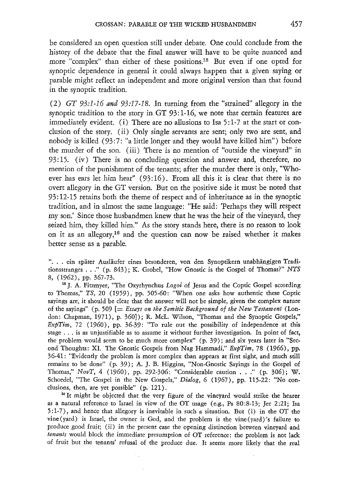be considered an open question still under debate. One could conclude from the history of the debate that the final answer will have to be quite nuanced and more "complex" than either of these positions.15 But even if one opted for synoptic dependence in general it could always happen that a given saying or parable might reflect an independent and more original version than that found in the synoptic tradition.

(2) GT 93:1-16 *and* 93:17-18. In turning from the "strained" allegory in the synoptic tradition to the story in GT 93: 1-16, we note that certain features are immediately evident. (i) There are no allusions to Isa 5:1-7 at the start or conclusion of the story. (ii) Only single servants are sent; only two are sent, and nobody is killed (93:7: "a little longer and they would have killed him") before the murder of the son. (iii) There is no mention of "outside the vineyard" in 93: 15. (iv) There is no concluding question and answer and, therefore, no mention of the punishment of the tenants; after the murder there is only, "Whoever has ears let him hear" (93:16). From all this it is clear that there is no overt allegory in the GT version. But on the positive side it must be noted that 93: 12-15 retains both the theme of respect and of inheritance as in the synoptic tradition, and in almost the same language: "He said: 'Perhaps they will respect my son.' Since those husbandmen knew that he was the heir of the vineyard, they seized him, they killed him." As the story stands here, there is no reason to look on it as an allegory,<sup>16</sup> and the question can now be raised whether it makes better sense as a parable.

". . . ein später Ausläufer eines besonderen, von den Synoptikern unabhängigen Traditionsstranges ... " (p. 843); K. Grobel, "How Gnostic is the Gospel of Thomas?" *NTS*  8, (1962), pp. 367-73.

15 J. A. Fitzmyer, "The Oxyrhynchus *Logoi* of Jesus and the Coptic Gospel according to Thomas," *TS,* 20 (1959), pp. 505-60: "When one asks how authentic these Coptic sayings are, it should be clear that the answer will not be simple, given the complex nature of the sayings" (p. 509 [= *Essays on the Semitic Background of the New Testament* (London: Chapman, 1971), p. 360]); R. McL. Wilson, "Thomas and the Synoptic Gospels," *ExpTim,* 72 (1960), pp. 36-39: "To rule out the possibility of independence at this stage ... is as unjustifiable as to assume *it* without further investigation. In point of fact, the problem would seem to be much more complex" (p. 39); and six years later in "Sec\_ ond Thoughts: XI. The Gnostic Gospels from Nag Hammadi," *ExpTim,* 78 (1966), pp. 36-41: "Evidently the problem is more complex than appears at first sight, and much still remains to be done" (p. 39); A. J. B. Higgins, "Non-Gnostic Sayings in the Gospel of Thomas," *NovT,* 4 (1960), pp. 292-306: "Considerable caution ... " *(p.* 306); W. Schoedel, "The Gospel in the New Gospels," *Dialog,* 6 (1967), pp. 115-22: "No conclusions, then, are yet possible" (p. 121).

<sup>10</sup> It might be objected that the very figure of the vineyard would strike the hearer as a natural reference to Israel in view of the OT usage (e.g., Ps 80:8-13; Jer 2:21; Isa 5:1-7), and hence that allegory is inevitable in such a situation. But (i) in the OT the vine (yard) is Israel, the owner is God, and the problem is the vine (yard) 's failure to produce good fruit; (ii) in the present case the opening distinction between vineyard and *tenants* would block the immediate presumption of OT reference: the problem is not lack of fruit but the tenants' refusal of the produce due. It seems more likely that the real

 $\frac{1}{2}$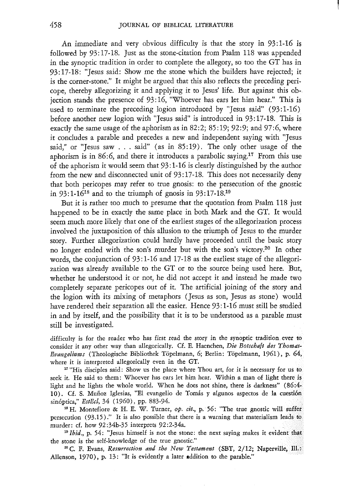An immediate and very obvious difficulty is that the story in 93:1-16 is followed by 93: 17-18. Just as the stone-citation from Psalm 118 was appended in the synoptic tradition in order to complete the allegory, so too the GT has in 93:17-18: "Jesus said: Show me the stone which the builders have rejected; it is the corner-stone." It might be argued that this also reflects the preceding pericope, thereby allegorizing it and applying it to Jesus' life. But against this objection stands the presence of 93:16, "Whoever has ears let him hear." This is used to terminate the preceding logion introduced by "Jesus said" (93:1-16) before another new logion with "Jesus said" is introduced in 93:17-18. This is exactly the same usage of the aphorism as in 82:2; 85:19; 92:9; and 97:6, where it concludes a parable and precedes a new and independent saying with "Jesus said," or "Jesus saw . . . said" (as in 85:19). The only other usage of the aphorism is in 86:6, and there it introduces a parabolic saying.<sup>17</sup> From this use of the aphorism it would seem that 93: 1-16 is clearly distinguished by the author from the new and disconnected unit of 93: 17 -18. This does not necessarily deny that both pericopes may refer to true gnosis: to the persecution of the gnostic in 93:1-1618 and to the triumph of gnosis in 93:17-18.19

But it is rather too much to presume that the quotation from Psalm 118 just happened to be in exactly the same place in both Mark and the GT. It would seem much more likely that one of the earliest stages of the allegorization process involved the juxtaposition of this allusion to the triumph of Jesus to the murder story. Further allegorization could hardly have proceeded until the basic story no longer ended with the son's murder but with the son's victory.2o In other words, the conjunction of 93:1-16 and 17-18 as the earliest stage of the allegorization was already available to the GT or to the source being used here. But, whether he understood it or not, he did not accept it and instead he made two completely separate pericopes out of it. The artificial joining of the story and the logion with its mixing of metaphors (Jesus as son, Jesus as stone) would have rendered their separation all the easier. Hence 93: 1-16 must still be studied in and by itself, and the possibility that it is to be understood as a parable must still be investigated.

difficulty is for the reader who has first read the story in the synoptic tradition. ever to consider it any other way than allegorically. Cf. E. Haenchen, *Die Botschaft des Thomas-Evangeliums* (Theologische Bibliothek Töpelmann, 6; Berlin: Töpelmann, 1961), p. 64, where it is interpreted allegorically even in the GT.

<sup>17</sup> "His disciples said: Show us the place where Thou art, for it is necessary for us to seek it. He said to them: Whoever has ears let him hear. Within a man of light there is light and he lights the whole world. When he does not shine, there is darkness" (86:4- 10). Cf. S. Muñoz Iglesias, "El evangelio de Tomás y algunos aspectos de la cuestión sin6ptica," *EstEcl,* 34 (1960), pp. 883-94.

<sup>18</sup> H. Montefiore & H. E. W. Turner, op. cit., p. 56: "The true gnostic will suffer persecution (93.15)." It is also possible that there is a warning that materialism leads to murder: cf. how 92:34b-35 interprets 92:2-34a.

<sup>19</sup> Ibid., p. 54: "Jesus himself is not the stone: the next saying makes it evident that the stone is the self-knowledge of the true gnostic."

.. C. F. Evans, *Resurrection and the New Testament* (SBT, 2/12; Naperville, Ill.: Allenson, 1970), p. 13: "It is evidently a later addition to the parable."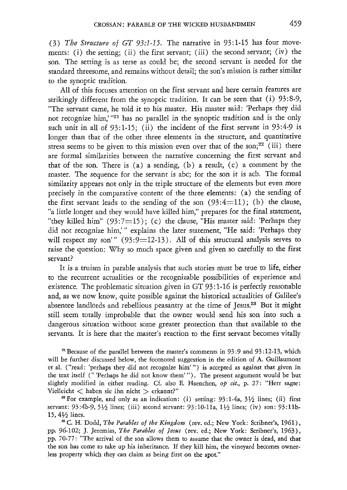(3) *The Structure of GT* 93:1-15. The narrative in 93:1-15 has four movements: (i) the setting; (ii) the first servant; (iii) the second servant; (iv) the son. The setting is as terse as could be; the second servant is needed for the standard threesome, and remains without detail; the son's mission is rather similar to the synoptic tradition.

All of this focuses attention on the first servant and here certain features are strikingly different from the synoptic tradition. It can be seen that (i) 93:8-9, "The servant came, he told it to his master. His master said: 'Perhaps they did not recognize him,' "21 has no parallel in the synoptic tradition and is the only such unit in all of 93:1-15; (ii) the incident of the first servant in 93:4-9 is longer than that of the other three elements in the structure, and quantitative stress seems to be given to this mission even over that of the son;<sup>22</sup> (iii) there are formal similarities between the narrative concerning the first servant and that of the son. There is  $(a)$  a sending,  $(b)$  a result,  $(c)$  a comment by the master. The sequence for the servant is abc; for the son it is acb. The formal similarity appears not only in the triple structure of the elements but even more precisely in the comparative content of the three elements: (a) the sending of the first servant leads to the sending of the son  $(93:4=11)$ ; (b) the clause, "a little longer and they would have killed him," prepares for the final statement, "they killed him"  $(93:7=15)$ ; (c) the clause, "His master said: 'Perhaps they did not recognize him,'" explains the later statement, "He said: 'Perhaps they will respect my son'" (93:9=12-13). All of this structural analysis serves to raise the question: Why so much space given and given so carefully to the first servant?

It is a truism in parable analysis that such stories must be true to life, either to the recurrent actualities or the recognizable possibilities of experience and existence. The problematic situation given in GT 93:1-16 is perfectly reasonable and, as we now know, quite possible against the historical actualities of Galilee's absentee landlords and rebellious peasantry at the time of Jesus.23 But it might still seem totally improbable that the owner would send his son into such a dangerous situation without some greater protection than that available to the servants. It is here that the master's reaction to the first servant becomes vitally

<sup>21</sup> Because of the parallel between the master's comments in  $93:9$  and  $93:12-13$ , which will be further discussed below, the footnoted suggestion in the edition of A. Guillaumont et aI. ("read: 'perhaps they did not recognize him' ") is accepted as against that given in the text itself ("'Perhaps he did not know them'"). The present argument would be but slightly modified in either reading. Cf. also E. Haenchen, *op cit.,* p. 27: "Herr sagte: Vielleicht  $<$  haben sie ihn nicht  $>$  erkannt?"

<sup>22</sup> For example, and only as an indication: (i) setting:  $93:1-4a$ ,  $3\frac{1}{2}$  lines; (ii) first servant: 93:4b-9, 51/2 lines; (iii) second servant: 93:10-11a, 11/2 lines; (iv) son: 93:11b-15, 4Yz lines.

<sup>23</sup> C. H. Dodd, *The Parables of the Kingdom* (rev. ed.; New York: Scribner's, 1961), pp. 96-102; J. Jeremias, *The Parables of Jesus* (rev. ed.; New York: Scribner's, 1963), pp. 70-77: "The arrival of the son allows them to assume that the owner is dead, and that the son has come to take up his inheritance. If they kill him, the vineyard becomes ownerless property which they can claim as being first on the spot."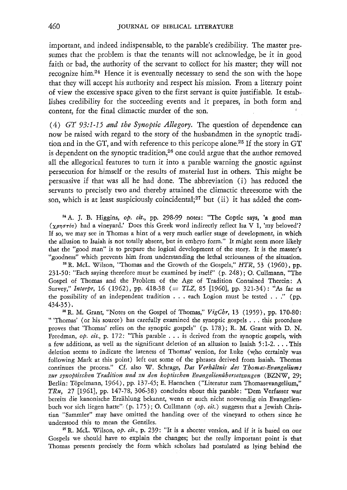important, and indeed indispensable, to the parable's credibility. The master presumes that the problem is that the tenants will not acknowledge, be it in good faith or bad, the authority of the servant to collect for his master; they will not recognize him.24 Hence it is eventually necessary to send the son with the hope that they will accept his authority and respect his mission. From a literary point of view the excessive space given to the first servant is quite justifiable. It estab-· lishes credibility for the succeeding events and it prepares, in both form and content, for the final climactic murder of the son.

(4) *GT* 93:1-15 *and the Synoptic Allegory.* The question of dependence can now be raised with regard to the story of the husbandmen in the synoptic tradition and in the GT, and with reference to this pericope alone.<sup>25</sup> If the story in GT is dependent on the synoptic tradition,<sup>26</sup> one could argue that the author removed all the allegorical features to turn it into a parable warning the gnostic against persecution for himself or the results of material lust in others. This might be persuasive if that was all he had done. The abbreviation (i) has reduced the servants to precisely two and thereby attained the climactic threesome with the son, which is at least suspiciously coincidental;<sup>27</sup> but (ii) it has added the com-

<sup>24</sup> A. J. B. Higgins, op. cit., pp. 298-99 notes: "The Coptic says, 'a good man *(xPr)!17"6s)* had a vineyard: Does this Greek word indirectly reflect Isa V 1, 'my beloved'? If so, we may see in Thomas a hint of a very much earlier stage of development, in which the allusion to Isaiah is not totally absent, but in embryo form." It might seem more likely that the "good man" is to prepare the logical development of the story. It is the master's "goodness" which prevents him from understanding the lethal seriousness of the situation.

<sup>25</sup> R. McL. Wilson, "Thomas and the Growth of the Gospels," *HTR*, 53 (1960), pp. 231-50: "Each saying therefore must be examined by itself" (p. 248); O. Cullmann, "The Gospel of Thomas and the Problem of the Age of Tradition Contained Therein: A Survey," *Interpr*, 16 (1962), pp. 418-38 (= *TLZ*, 85 [1960], pp. 321-34): "As far as the possibility of an independent tradition . . . each Logion must be tested . . ." (pp. 434-35) .

26R. M. Grant, "Notes on the Gospel of Thomas," *VigChr,* 13 (1959), pp. 170-80: "'Thomas' (or his source) has carefully examined the synoptic gospels . . . this procedure proves that 'Thomas' relies on the synoptic gospels" (p. 178); R. M. Grant with D. N. Freedman, *op. cit.*, p. 172: "This parable . . . is derived from the synoptic gospels, with a few additions, as well as the significant deletion of an allusion to Isaiah 5:1-2. . . . This deletion seems to indicate the lateness of Thomas' version, for Luke (who certainly was following Mark at this point) left out some of the phrases derived from Isaiah. Thomas continues the process." Cf. also W. Schrage, *Das Verhältnis des Thomas-Evangeliums* zur synoptischen Tradition und zu den koptischen Evangelienübersetzungen (BZNW, 29; Berlin: Töpelmann, 1964), pp. 137-45; E. Haenchen ("Literatur zum Thomasevangelium," *TRu*, 27 [1961], pp. 147-78, 306-38) concludes about this parable: "Dem Verfasser war bereits die kanonische Erzahlung bekannt, wenn er auch nicht notwendig ein Evangelienbuch vor sich liegen hatte"· (p. 175); O. Cullmann *(op. cit.)* suggests that a Jewish Christian "Sammler" may have omitted the handing over of the vineyard to others since he understood this to mean the Gentiles.

<sup>27</sup> R. McL. Wilson, *op. cit.*, p. 239: "It is a shorter version, and if it is based on our Gospels we should have to explain the changes; but the really important point is that Thomas presents precisely the form whkh scholars had postulated as lying behind the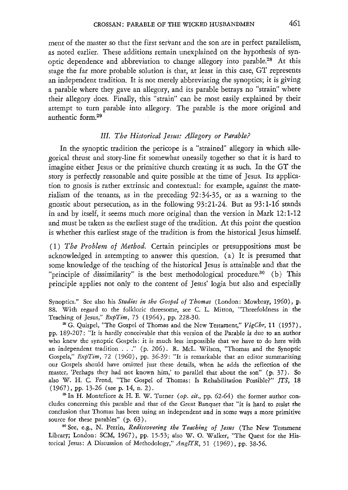ment of the master so that the first servant and the son are in perfect parallelism, as noted earlier. These additions remain unexplained on the hypothesis of synoptic dependence and abbreviation to change allegory into parable.28 At this stage the far more probable solution is that, at least in this case, GT represents an independent tradition. It is not merely abbreviating the synoptics; it is giving a parable where they gave an allegory, and its parable betrays no "strain" where their allegory does. Finally, this "strain" can be most easily explained by their attempt to turn parable into allegory. The parable is the more original and authentic form.29

## *Ill. The Historical Jesus: Allegory or Parable?*

In the synoptic tradition the pericope is a "strained" allegory in which allegorical thrust and story-line fit somewhat uneasily together so that it is hard to imagine either Jesus or the primitive church creating it as such. In the GT the story is perfectly reasonable and quite possible at the time of Jesus. Its application to gnosis is rather extrinsic and contextual: for example, against the materialism of the tenants, as in the preceding 92:34-35, or as a warning to the gnostic about persecution, as in the following 93: 21-24. But as 93: 1-16 stands in and by itself, it seems much more original than the version in Mark 12: 1-12 and must be taken as the earliest stage of the tradition. At this point the question is whether this earliest stage of the tradition is from the historical Jesus himself.

(1) *The Problem of Method.* Certain principles or presuppositions must be acknowledged in attempting to answer this question. (a) It is presumed that some knowledge of the teaching of the historical Jesus is attainable and that the "principle of dissimilarity" is the best methodological procedure.<sup>30</sup> (b) This principle applies not only to the content of Jesus' logia but also and especially

Synoptics." See also his *Studies in the Gospel of Thomas* (London: Mowbray, 1960), p. 88. With regard to the folkloric threesome, see C. 1. Mitton, "Threefoldness in the Teaching of Jesus," *ExpTim,* 75 (1964), pp. 228-30.

<sup>28</sup> G. Quispel, "The Gospel of Thomas and the New Testament," *VigChr*, 11 (1957), pp. 189-207: "It is hardly conceivable that this version of the Parable is due to an author who knew the synoptic Gospels: it is much less impossible that we have to do here with an independent tradition . . ." (p. 206). R. McL. Wilson, "Thomas and the Synoptic Gospels," *ExpTim,* 72 (1960), pp. 36-39: "It is remarkable that an editor summarizing our Gospels should have omitted just these details, when he adds the reflection of the master, 'Perhaps they had not known him,' to parallel that about the son" (p. 37). So also W. H. C. Frend, "The Gospel of Thomas: Is Rehabilitation Possible?" *JTS, 18*  (1967), pp. 13-26 *(see* p. 14, n. 2).

29 In H. Montefiore & H. E. W. Turner *(op. cit.,* pp. 62-64) the former author concludes concerning this parable and that of the Great Banquet that "it is hard to resist the conclusion that Thomas has been using an independent and in some ways a more primitive source for these parables" (p. 63).

*80 See,* e.g., N. Perrin, *Rediscovering the Teaching of Jesus* (The New Testament Library; London: SCM, 1967), pp. 15-53; also W. O. Walker, "The Quest for the Historical Jesus: A Discussion of Methodology," *AnglTR,* 51 (1969), pp. 38-56.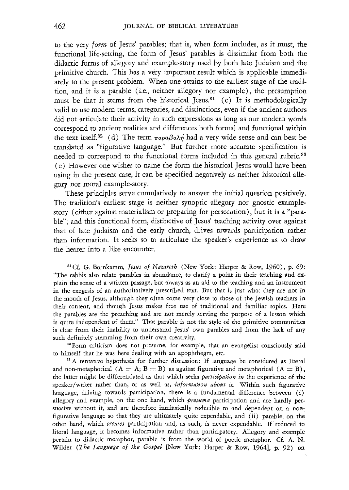to the very *form* of Jesus' parables; that is, when form includes, as it must, the functional life-setting, the form of Jesus' parables is dissimilar from both the didactic forms of allegory and example-story used by both late Judaism and the primitive church. This has a very important result which is applicable immediately to the present problem. When one attains to the earliest stage of the tradition, and it is a parable (i.e., neither allegory nor example), the presumption must be that it stems from the historical Jesus.<sup>31</sup> (c) It is methodologically valid to use modern terms, categories, and distinctions, even if the ancient authors did not articulate their activity in such expressions as long as our modern words correspond to ancient realities and differences both formal and functional within the text itself.<sup>32</sup> (d) The term  $\pi a \rho a \beta o \lambda \dot{\eta}$  had a very wide sense and can best be translated as "figurative language." But further more accurate specification is needed to correspond to the functional forms included in this general rubric.<sup>33</sup> ( e) However one wishes to name the form the historical Jesus would have been using in the present case, it can be specified negatively as neither historical allegory nor moral example-story.

These principles serve cumulatively to answer the initial question positively. The tradition's earliest stage is neither synoptic allegory nor gnostic examplestory (either against materialism or preparing for persecution), but it is a "parable"; and this functional form, distinctive of Jesus' teaching activity over against that of late Judaism and the early church, drives towards participation rather than information. It seeks so to articulate the speaker's experience as to draw the hearer into a like encounter.

<sup>31</sup> Cf. G. Bornkamm, *Jesus of Nazareth* (New York: Harper & Row, 1960), p. 69: "The rabbis also relate parables in abundance, to clarify a point in their teaching and explain the sense of a written passage, but always as an aid to the teaching and an instrument in the exegesis of an authoritatively prescribed text. But that is just what they are not in the mouth of Jesus, although they often come very close to those of the Jewish teachers in their content, and though Jesus makes free use of traditional and familiar topics. Here the parables are the preaching and are not merely serving the purpose of a lesson which is quite independent of them." That parable is not the style of the primitive communities is clear from their inability to understand Jesus' own parables and from the lack of any such definitely stemming from their own creativity.

<sup>32</sup> Form criticism does not presume, for example, that an evangelist consciously said to himself that he was here dealing with an apophthegm, etc.

<sup>33</sup> A tentative hypothesis for further discussion: If language be considered as literal and non-metaphorical  $(A = A; B = B)$  as against figurative and metaphorical  $(A = B)$ , the latter might be differentiated as that which seeks *participation in* the experience of the speaker/writer rather than, or as well as, *information about* it. Within such figurative language, driving towards participation, there is a fundamental difference between (i) allegory and example, on the one hand, which *presume* participation and are hardly persuasive without it, and are therefore intrinsically reducible to and dependent on a nonfigurative language so that they are ultimately quite expendable, and (ii) parable, on the other hand, which *creates* participation and, as such, is never expendable. If reduced to literal language, it becomes informative rather than participatory. Allegory and example pertain to didactic metaphor, parable is from the world of poetic metaphor. Cf. A. N. Wilder *(The Langflage of the Gospel* [New York: Harper & Row, 1964], p. 92) on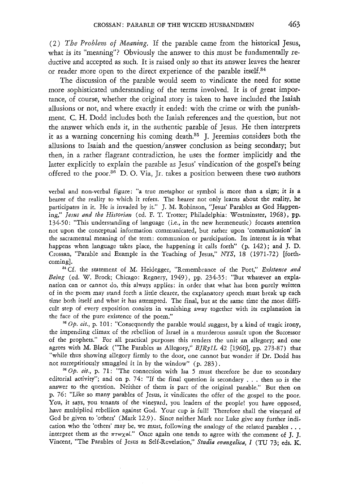*(2) The Problem of Meaning.* If the parable came from the historical Jesus, what is its "meaning"? Obviously the answer to this must be fundamentally reductive and accepted as such. It is raised only so that its answer leaves the hearer or reader more open to the direct experience of the parable itself.<sup>34</sup>

The discussion of the parable would seem to vindicate the need for some more sophisticated understanding of the terms involved. It is of great importance, of course, whether the original story is taken to have included the Isaiah allusions or not, and where exactly it ended: with the crime or with the punishment. C. H. Dodd includes both the Isaiah references and the question, but not the answer which ends it, in the authentic parable of Jesus. He then interprets it as a warning concerning his coming death.<sup>35</sup> J. Jeremias considers both the allusions to Isaiah and the question/answer conclusion as being secondary; but then, in a rather flagrant contradiction, he uses the former implicitly and the latter explicitly to explain the parable as Jesus' vindication of the gospel's being offered to the poor.<sup>36</sup> D. O. Via, Jr. takes a position between these two authors

verbal and non-verbal figure: "a true metaphor or symbol is more than a sign; it is a bearer of the reality to which it refers. The hearer not only learns about the reality, he participates in it. He is invaded by it." J. M. Robinson, "Jesus' Parables as God Happening," *Jesus and the Historian* (ed. F. T. Trotter; Philadelphia: Westminster, 1968), *pp.*  134-50: "This understanding of language (i.e., in the new hermeneutic) focuses attention not upon the conceptual information communicated, but rather upon 'communication' in the sacramental meaning of the term: communion or participation. Its interest is in what happens when language takes place, the happening it calls forth" *(p.* 142); and J. D. Crossan, "Parable and Example in the Teaching of Jesus," *NTS,* 18 (1971-72) [forthcoming].

3! Cf. the statement of M. Heidegger, "Remembrance of the Poet," *Existence and Being* (ed. W. Brock; Chicago: Regnery, 1949), *pp.* 234-35: "But whatever an explanation can or cannot do, this always applies: in order that what has been purely written of in the *poem* may stand forth a little clearer, the explanatory speech must break up each time both itself and what it has attempted. The final, but at the same time the most difficult *step* of every exposition consists in vanishing away together with its explanation in the face of the pure existence of the *poem."* 

<sup>35</sup> Op. *cit.*, p. 101: "Consequently the parable would suggest, by a kind of tragic irony, the impending climax of the rebellion of Israel in a murderous assault upon the Successor of the prophets." For all practical purposes this renders the unit an allegory; and one agrees with M. Black ("The Parables as Allegory," *BJRy1L 42* [1960], pp. 273-87) that "while thus showing allegory firmly to the door, one cannot but wonder if Dr. Dodd has not surreptitiously smuggled it in by the window" (p. 283) .

<sup>36</sup> Op. cit., p. 71: "The connection with Isa 5 must therefore be due to secondary editorial activity"; and on *p.* 74: "If the final question is secondary ... then so is the answer to the question. Neither of them is part of the original parable." But then on p. 76: "Like so many parables of Jesus, it vindicates the offer of the gospel to the poor. You, it says, you. tenants of the vineyard, you leaders of the people! you have opposed, have multiplied rebellion against God. Your *tup* is full! Therefore shall the vineyard of God be given to 'others' (Mark 12.9). Since neither Mark nor Luke give any further indication who the 'others' may be, we must, following the analogy of the related parables ... interpret them as the  $\pi r \omega \chi o l$ ." Once again one tends to agree with the comment of J. J. Vincent, "The Parables of Jesus as Self-Revelation," *Studia evangelica, I* (TU 73; eds. K.

 $\bar{z}$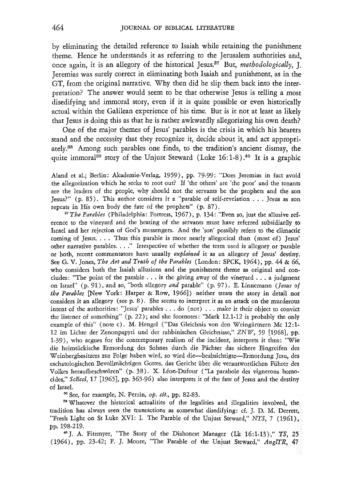by eliminating the detailed reference to Isaiah while retaining the punishment theme. Hence he understands it as referring to the Jerusalem authorities and, once again, it is an allegory of the historical Jesus.37 But, *methodologically,* J. Jeremias was surely correct in eliminating both Isaiah and punishment, as in the GT, from the original narrative. Why then did he slip them back into the interpretation? The answer would seem to be that otherwise Jesus is telling a most disedifying and immoral story, even if it is quite possible or even historically actual within the Galilean experience of his time. But is it not at least as likely· that Jesus is doing this as that he is rather awkwardly allegorizing his own death?

One of the major themes of Jesus' parables is the crisis in which his hearers stand and the necessity that they recognize it, decide about it, and act appropriately.3S Among such parables one finds, to the tradition's ancient dismay, the quite immoral<sup>39</sup> story of the Unjust Steward (Luke  $16:1-8$ ).<sup>40</sup> It is a graphic

Aland et al.; Berlin: Akademie-Verlag, 1959), pp. 79-99: "Does Jeremias in fact avoid the allegorization which he seeks to root out? If 'the others' are 'the poor' and the tenants are the leaders of the people, why should not the servants be the prophets and the son Jesus?" (p. 85). This author considers it a "parable of self-revelation ... Jesus as son repeats in His own body the fate of the prophets" (p. 87).

37 *The Parables* (Philadelphia: Fortress, 1967), *p.* 134: "Even so, just the allusive reference to the vineyard and the beating of the servants must have referred subsidiarily to Israel and her rejection of God's messengers. And the 'son' possibly refers to the climactic coming of Jesus. . . . Thus this parable is more nearly allegorical than (most of) Jesus' other narrative parables. . . ." Irrespective of whether the term used is allegory or parable or both, recent commentators have usually *explained* it as an allegory of Jesus' destiny. See G. V. Jones, *The Art and Truth* of *the Parables* (london: SPCK, 1964), pp. 44 & 66, who considers both the Isaiah allusions and the punishment theme as original and concludes: "The point of the parable ... is the giving away of the vineyard ... a judgment on Israel" (p. 91), and so, "both allegory *and* parable" (p. 97). E. linnemann *(Jesus* of *the Parables* [New York: Harper & Row, 1966]) neither treats the story in detail nor considers it an allegory (see p. 8). She seems to interpret it as an attack on the murderous intent of the authorities: "Jesus' parables ... do (not) ... make it their object to convict the listener of something" (p. 22); and she footnotes: "Mark 12.1-12 is probably the only example of this" (note c). M. Hengel ("Das Gleichnis von den Weingartnern Mc 12: 1- 12 im Lichte der Zenonpapyri und der rabbinischen Gleichnisse," *ZNW*, 59 [1968], pp. 1-39), who argues for the contemporary realism of the incident, interprets it thus: "Wie die heimtiickische Ermordung des Sohnes durch die Pachter das sichere Eingreifen des Weinbergbesitzers zur Folge haben wird, so wird die-beabsichtigte-Ermordung Jesu, des eschatologischen Bevollmachtigen Gottes, das Gericht iiber die verantwortlichen Fiihrer des Volkes heraufbeschwören" (p. 38). X. Léon-Dufour ("La parabole des vignerons homocides," *ScEccl*, 17 [1965], pp. 365-96) also interprets it of the fate of Jesus and the destiny of Israel.

<sup>38</sup> See, for example, N. Perrin, op. cit., pp. 82-83.

39 Whatever the historical actualities of the legalities and illegalities involved, the tradition has always seen the transactions as somewhat disedifying: cf. J. D. M. Derrett, "Fresh Light on St Luke XVI: I. The Parable of the Unjust Steward," *NTS,* 7 (1961), pp. 198-219.

<0 J. A. Fitzmyer, "The Story of the Dishonest Manager (lk 16:1-13)," *TS, 25*  (1964), pp. 23-42; F. J. Moore, "The Parable of the Unjust Steward," *AngITR, 47*